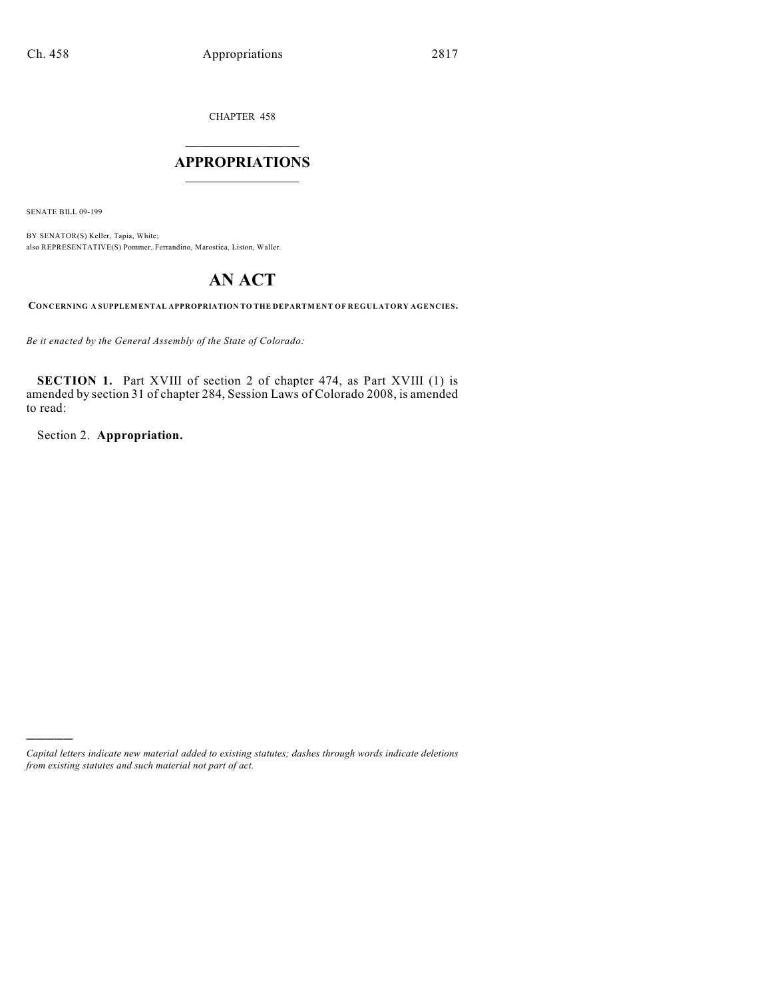CHAPTER 458

# $\mathcal{L}_\text{max}$  . The set of the set of the set of the set of the set of the set of the set of the set of the set of the set of the set of the set of the set of the set of the set of the set of the set of the set of the set **APPROPRIATIONS**  $\_$   $\_$   $\_$   $\_$   $\_$   $\_$   $\_$   $\_$

SENATE BILL 09-199

)))))

BY SENATOR(S) Keller, Tapia, White; also REPRESENTATIVE(S) Pommer, Ferrandino, Marostica, Liston, Waller.

# **AN ACT**

**CONCERNING A SUPPLEMENTAL APPROPRIATION TO THE DEPARTMENT OF REGULATORY AGENCIES.**

*Be it enacted by the General Assembly of the State of Colorado:*

**SECTION 1.** Part XVIII of section 2 of chapter 474, as Part XVIII (1) is amended by section 31 of chapter 284, Session Laws of Colorado 2008, is amended to read:

Section 2. **Appropriation.**

*Capital letters indicate new material added to existing statutes; dashes through words indicate deletions from existing statutes and such material not part of act.*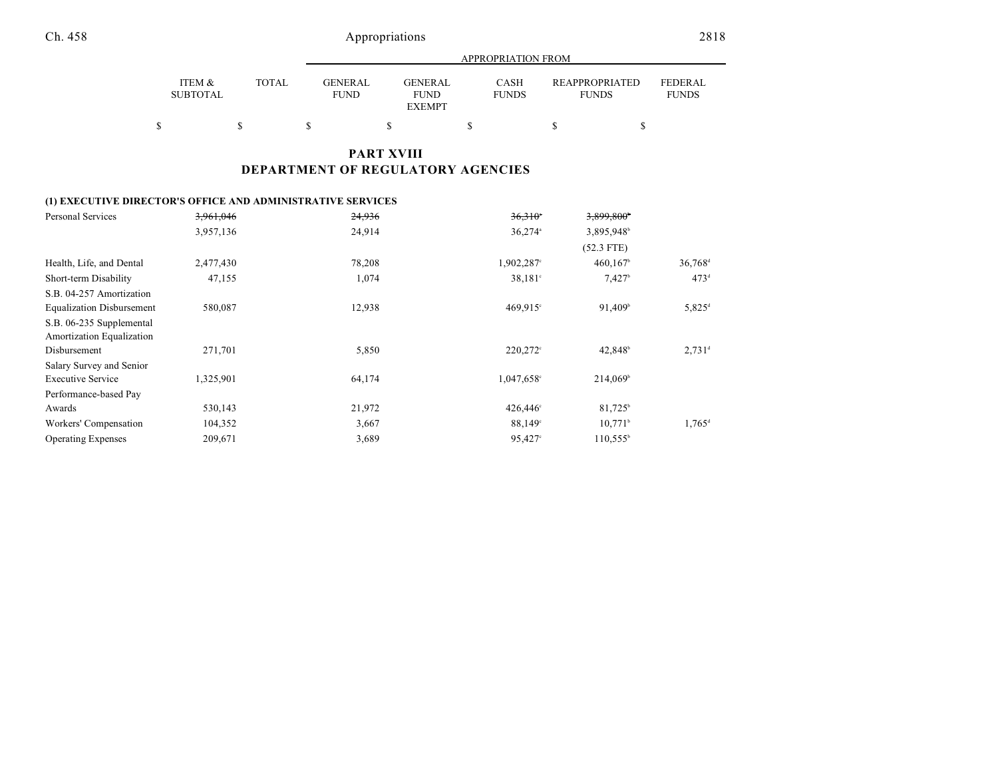|                           |       |                               |                                                | APPROPRIATION FROM          |                                |                                |
|---------------------------|-------|-------------------------------|------------------------------------------------|-----------------------------|--------------------------------|--------------------------------|
| ITEM &<br><b>SUBTOTAL</b> | TOTAL | <b>GENERAL</b><br><b>FUND</b> | <b>GENERAL</b><br><b>FUND</b><br><b>EXEMPT</b> | <b>CASH</b><br><b>FUNDS</b> | REAPPROPRIATED<br><b>FUNDS</b> | <b>FEDERAL</b><br><b>FUNDS</b> |
| Þ                         |       |                               |                                                |                             |                                |                                |

## **PART XVIII DEPARTMENT OF REGULATORY AGENCIES**

### **(1) EXECUTIVE DIRECTOR'S OFFICE AND ADMINISTRATIVE SERVICES**

| Personal Services                | 3,961,046 | 24,936 | $36.310$ <sup>*</sup> | 3,899,800             |                       |
|----------------------------------|-----------|--------|-----------------------|-----------------------|-----------------------|
|                                  | 3,957,136 | 24,914 | $36.274$ <sup>a</sup> | 3,895,948             |                       |
|                                  |           |        |                       | $(52.3$ FTE)          |                       |
| Health, Life, and Dental         | 2,477,430 | 78,208 | 1,902,287°            | 460,167               | $36,768$ <sup>d</sup> |
| Short-term Disability            | 47,155    | 1,074  | $38,181^{\circ}$      | $7,427$ <sup>b</sup>  | 473 <sup>d</sup>      |
| S.B. 04-257 Amortization         |           |        |                       |                       |                       |
| <b>Equalization Disbursement</b> | 580,087   | 12,938 | $469.915^{\circ}$     | 91,409 <sup>b</sup>   | $5,825^{\rm d}$       |
| S.B. 06-235 Supplemental         |           |        |                       |                       |                       |
| Amortization Equalization        |           |        |                       |                       |                       |
| Disbursement                     | 271,701   | 5,850  | $220,272$ °           | $42.848^{\circ}$      | $2,731$ <sup>d</sup>  |
| Salary Survey and Senior         |           |        |                       |                       |                       |
| <b>Executive Service</b>         | 1,325,901 | 64,174 | 1,047,658°            | $214,069^{\circ}$     |                       |
| Performance-based Pay            |           |        |                       |                       |                       |
| Awards                           | 530,143   | 21,972 | 426,446°              | $81,725^{\circ}$      |                       |
| Workers' Compensation            | 104,352   | 3,667  | 88,149°               | $10,771$ <sup>b</sup> | $1,765$ <sup>d</sup>  |
| <b>Operating Expenses</b>        | 209,671   | 3,689  | 95,427 <sup>c</sup>   | $110,555^{\circ}$     |                       |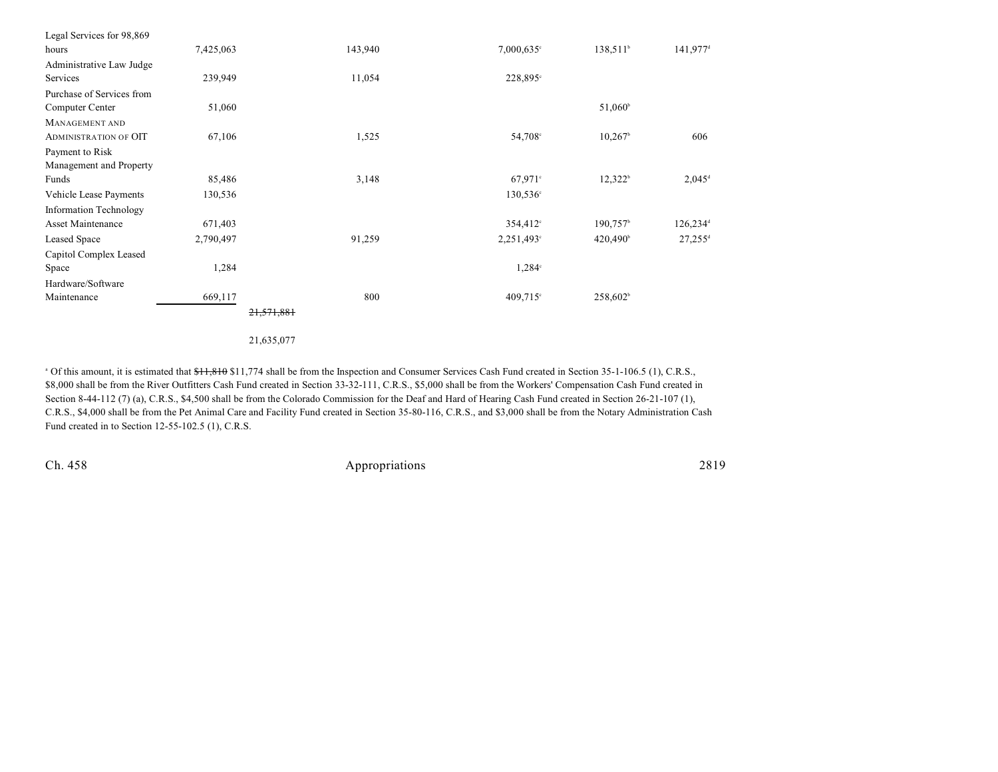| Legal Services for 98,869     |           |            |                     |                        |                        |
|-------------------------------|-----------|------------|---------------------|------------------------|------------------------|
| hours                         | 7,425,063 | 143,940    | $7,000,635^{\circ}$ | $138,511^{\circ}$      | $141,977$ <sup>d</sup> |
| Administrative Law Judge      |           |            |                     |                        |                        |
| Services                      | 239,949   | 11,054     | 228,895°            |                        |                        |
| Purchase of Services from     |           |            |                     |                        |                        |
| Computer Center               | 51,060    |            |                     | $51,060^{\circ}$       |                        |
| MANAGEMENT AND                |           |            |                     |                        |                        |
| <b>ADMINISTRATION OF OIT</b>  | 67,106    | 1,525      | 54,708 <sup>c</sup> | $10,267$ <sup>b</sup>  | 606                    |
| Payment to Risk               |           |            |                     |                        |                        |
| Management and Property       |           |            |                     |                        |                        |
| Funds                         | 85,486    | 3,148      | $67,971$ °          | $12,322^b$             | $2,045^{\rm d}$        |
| Vehicle Lease Payments        | 130,536   |            | 130,536°            |                        |                        |
| <b>Information Technology</b> |           |            |                     |                        |                        |
| Asset Maintenance             | 671,403   |            | $354,412^{\circ}$   | $190,757$ <sup>b</sup> | $126,234$ <sup>d</sup> |
| Leased Space                  | 2,790,497 | 91,259     | $2,251,493$ °       | $420,490^{\circ}$      | $27,255$ <sup>d</sup>  |
| Capitol Complex Leased        |           |            |                     |                        |                        |
| Space                         | 1,284     |            | $1,284^{\circ}$     |                        |                        |
| Hardware/Software             |           |            |                     |                        |                        |
| Maintenance                   | 669,117   | 800        | $409,715$ °         | 258,602 <sup>b</sup>   |                        |
|                               |           | 21,571,881 |                     |                        |                        |
|                               |           |            |                     |                        |                        |

21,635,077

<sup>a</sup> Of this amount, it is estimated that  $\frac{11,810}{1,774}$  shall be from the Inspection and Consumer Services Cash Fund created in Section 35-1-106.5 (1), C.R.S., \$8,000 shall be from the River Outfitters Cash Fund created in Section 33-32-111, C.R.S., \$5,000 shall be from the Workers' Compensation Cash Fund created in Section 8-44-112 (7) (a), C.R.S., \$4,500 shall be from the Colorado Commission for the Deaf and Hard of Hearing Cash Fund created in Section 26-21-107 (1), C.R.S., \$4,000 shall be from the Pet Animal Care and Facility Fund created in Section 35-80-116, C.R.S., and \$3,000 shall be from the Notary Administration Cash Fund created in to Section 12-55-102.5 (1), C.R.S.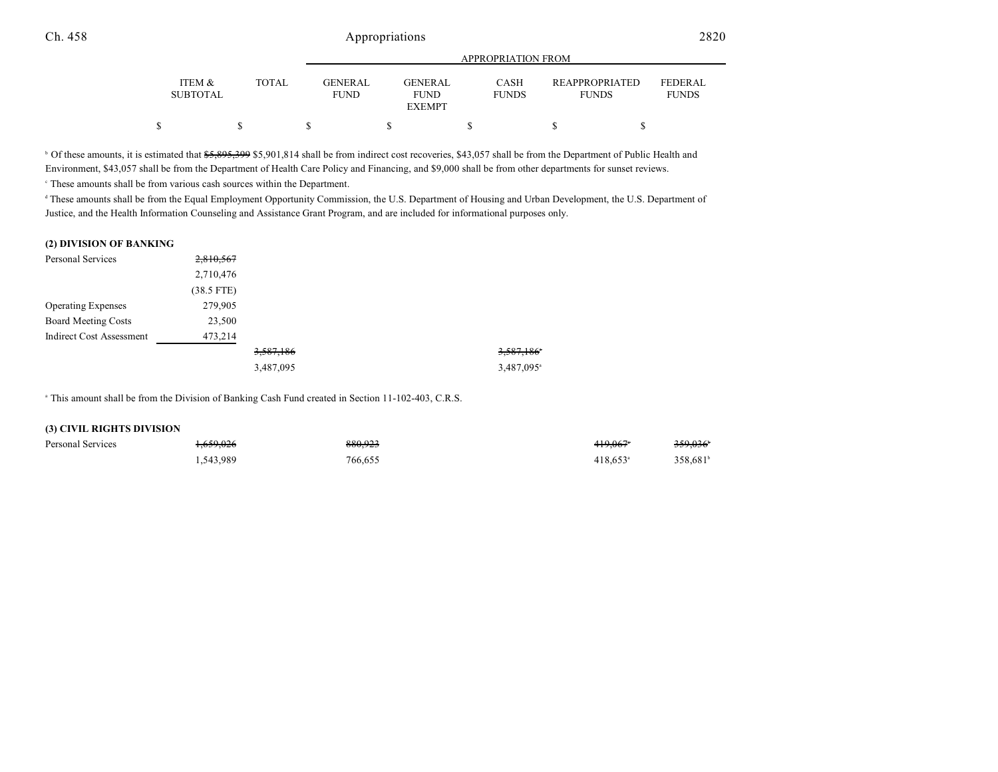|                           |       | APPROPRIATION FROM     |                                         |                             |                                       |                                |
|---------------------------|-------|------------------------|-----------------------------------------|-----------------------------|---------------------------------------|--------------------------------|
| ITEM &<br><b>SUBTOTAL</b> | TOTAL | GENERAL<br><b>FUND</b> | GENERAL<br><b>FUND</b><br><b>EXEMPT</b> | <b>CASH</b><br><b>FUNDS</b> | <b>REAPPROPRIATED</b><br><b>FUNDS</b> | <b>FEDERAL</b><br><b>FUNDS</b> |
| Φ                         |       |                        |                                         |                             |                                       |                                |

<sup>b</sup> Of these amounts, it is estimated that \$5,895,399 \$5,901,814 shall be from indirect cost recoveries, \$43,057 shall be from the Department of Public Health and Environment, \$43,057 shall be from the Department of Health Care Policy and Financing, and \$9,000 shall be from other departments for sunset reviews.

 $\degree$  These amounts shall be from various cash sources within the Department.

<sup>d</sup> These amounts shall be from the Equal Employment Opportunity Commission, the U.S. Department of Housing and Urban Development, the U.S. Department of Justice, and the Health Information Counseling and Assistance Grant Program, and are included for informational purposes only.

#### **(2) DIVISION OF BANKING**

| Personal Services          | 2,810,567    |           |                        |
|----------------------------|--------------|-----------|------------------------|
|                            | 2,710,476    |           |                        |
|                            | $(38.5$ FTE) |           |                        |
| <b>Operating Expenses</b>  | 279,905      |           |                        |
| <b>Board Meeting Costs</b> | 23,500       |           |                        |
| Indirect Cost Assessment   | 473,214      |           |                        |
|                            |              | 3,587,186 | 3,587,186°             |
|                            |              | 3,487,095 | 3,487,095 <sup>a</sup> |

<sup>a</sup> This amount shall be from the Division of Banking Cash Fund created in Section 11-102-403, C.R.S.

#### **(3) CIVIL RIGHTS DIVISION**

| Personal Services | <del>1,659,026</del> | 880,923 | <del>419.067</del> ° | 359,036              |
|-------------------|----------------------|---------|----------------------|----------------------|
|                   | 1,543,989            | 766,655 | $418.653^{\circ}$    | 358.681 <sup>b</sup> |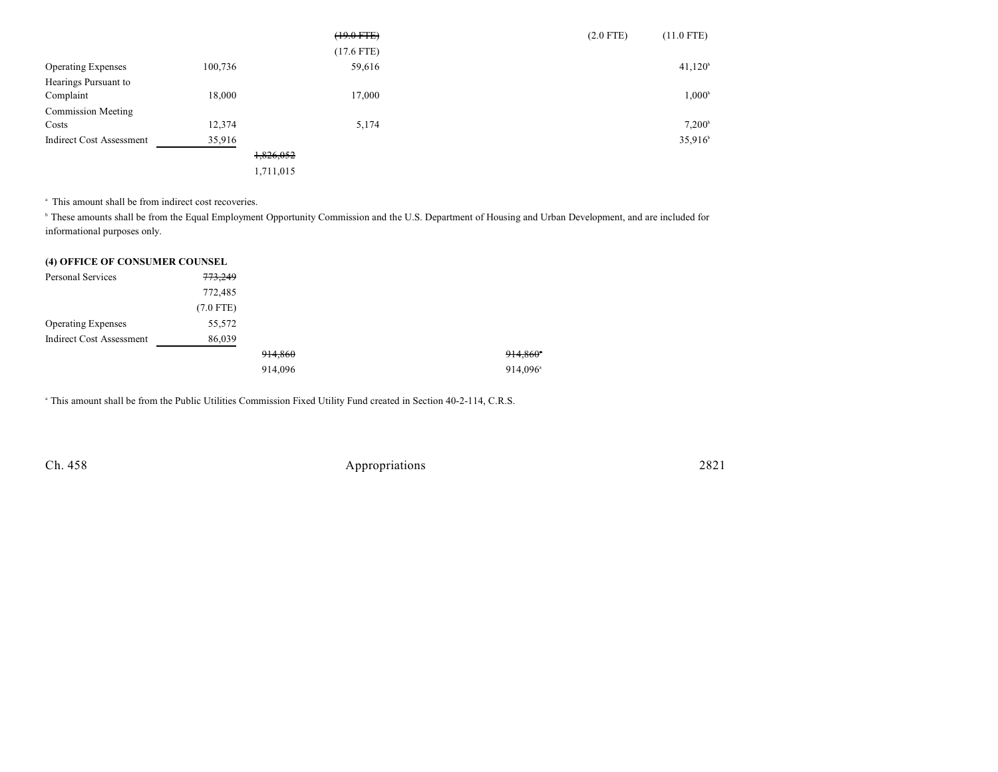|                                 |         |           | $(19.0$ FTE) | $(2.0$ FTE) | $(11.0$ FTE)        |
|---------------------------------|---------|-----------|--------------|-------------|---------------------|
|                                 |         |           | $(17.6$ FTE) |             |                     |
| <b>Operating Expenses</b>       | 100,736 |           | 59,616       |             | 41,120 <sup>b</sup> |
| Hearings Pursuant to            |         |           |              |             |                     |
| Complaint                       | 18,000  |           | 17,000       |             | $1,000^{\rm b}$     |
| <b>Commission Meeting</b>       |         |           |              |             |                     |
| Costs                           | 12,374  |           | 5,174        |             | 7.200 <sup>b</sup>  |
| <b>Indirect Cost Assessment</b> | 35,916  |           |              |             | $35,916^{\circ}$    |
|                                 |         | 1,826,052 |              |             |                     |
|                                 |         | 1,711,015 |              |             |                     |

<sup>a</sup> This amount shall be from indirect cost recoveries.

<sup>b</sup> These amounts shall be from the Equal Employment Opportunity Commission and the U.S. Department of Housing and Urban Development, and are included for informational purposes only.

### **(4) OFFICE OF CONSUMER COUNSEL**

| Personal Services               | 773,249     |         |                      |
|---------------------------------|-------------|---------|----------------------|
|                                 | 772,485     |         |                      |
|                                 | $(7.0$ FTE) |         |                      |
| <b>Operating Expenses</b>       | 55,572      |         |                      |
| <b>Indirect Cost Assessment</b> | 86,039      |         |                      |
|                                 |             | 914,860 | 914,860°             |
|                                 |             | 914,096 | 914,096 <sup>a</sup> |

<sup>a</sup> This amount shall be from the Public Utilities Commission Fixed Utility Fund created in Section 40-2-114, C.R.S.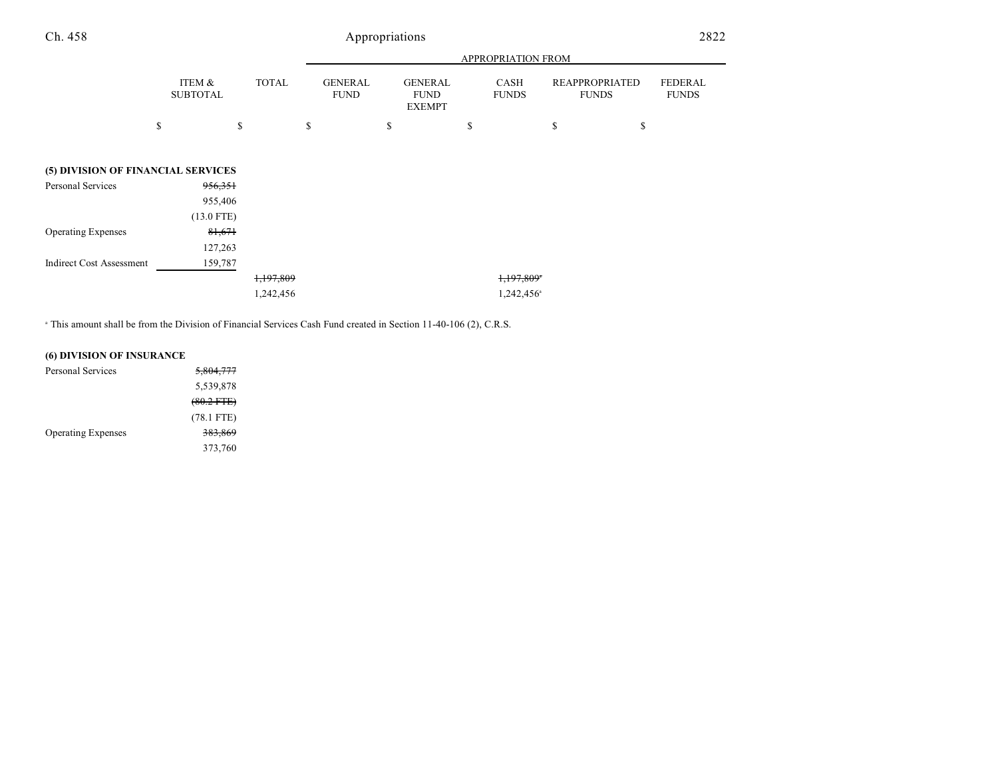|                                    |                           |              |                               |                                                | APPROPRIATION FROM          |                                       |                                |
|------------------------------------|---------------------------|--------------|-------------------------------|------------------------------------------------|-----------------------------|---------------------------------------|--------------------------------|
|                                    | ITEM &<br><b>SUBTOTAL</b> | <b>TOTAL</b> | <b>GENERAL</b><br><b>FUND</b> | <b>GENERAL</b><br><b>FUND</b><br><b>EXEMPT</b> | <b>CASH</b><br><b>FUNDS</b> | <b>REAPPROPRIATED</b><br><b>FUNDS</b> | <b>FEDERAL</b><br><b>FUNDS</b> |
|                                    | \$                        | \$           | \$                            | \$                                             | \$                          | \$<br>\$                              |                                |
| (5) DIVISION OF FINANCIAL SERVICES |                           |              |                               |                                                |                             |                                       |                                |
| Personal Services                  | 956,351                   |              |                               |                                                |                             |                                       |                                |
|                                    | 955,406                   |              |                               |                                                |                             |                                       |                                |
|                                    | $(13.0$ FTE)              |              |                               |                                                |                             |                                       |                                |
| <b>Operating Expenses</b>          | 81,671                    |              |                               |                                                |                             |                                       |                                |
|                                    | 127,263                   |              |                               |                                                |                             |                                       |                                |
| <b>Indirect Cost Assessment</b>    | 159,787                   |              |                               |                                                |                             |                                       |                                |
|                                    |                           | 1,197,809    |                               |                                                | 1,197,809*                  |                                       |                                |
|                                    |                           | 1,242,456    |                               |                                                | 1,242,456 <sup>a</sup>      |                                       |                                |

<sup>a</sup> This amount shall be from the Division of Financial Services Cash Fund created in Section 11-40-106 (2), C.R.S.

### **(6) DIVISION OF INSURANCE**

| Personal Services         | <del>5,804,777</del> |
|---------------------------|----------------------|
|                           | 5,539,878            |
|                           | $(80.2$ FTE)         |
|                           | $(78.1$ FTE)         |
| <b>Operating Expenses</b> | <del>383,869</del>   |
|                           | 373,760              |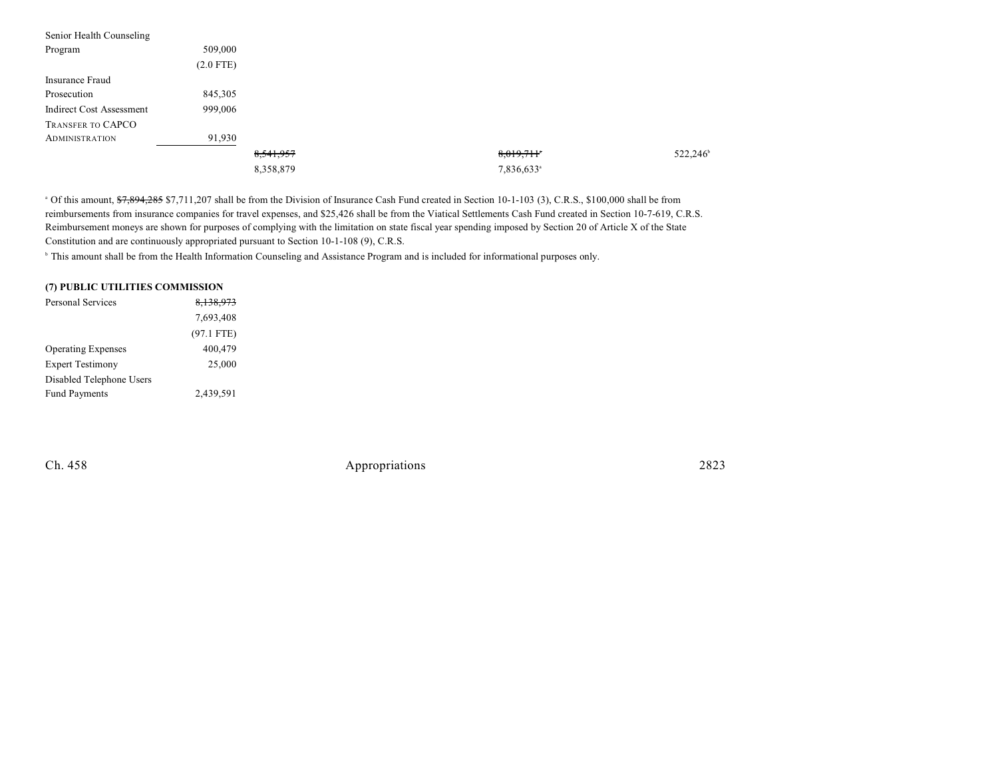| Senior Health Counseling |             |           |                        |                   |
|--------------------------|-------------|-----------|------------------------|-------------------|
| Program                  | 509,000     |           |                        |                   |
|                          | $(2.0$ FTE) |           |                        |                   |
| Insurance Fraud          |             |           |                        |                   |
| Prosecution              | 845,305     |           |                        |                   |
| Indirect Cost Assessment | 999,006     |           |                        |                   |
| TRANSFER TO CAPCO        |             |           |                        |                   |
| <b>ADMINISTRATION</b>    | 91,930      |           |                        |                   |
|                          |             | 8,541,957 | 8,019,711              | $522,246^{\circ}$ |
|                          |             | 8,358,879 | 7,836,633 <sup>a</sup> |                   |

<sup>a</sup> Of this amount,  $\frac{67,894,285}{7,711,207}$  shall be from the Division of Insurance Cash Fund created in Section 10-1-103 (3), C.R.S., \$100,000 shall be from reimbursements from insurance companies for travel expenses, and \$25,426 shall be from the Viatical Settlements Cash Fund created in Section 10-7-619, C.R.S. Reimbursement moneys are shown for purposes of complying with the limitation on state fiscal year spending imposed by Section 20 of Article X of the State Constitution and are continuously appropriated pursuant to Section 10-1-108 (9), C.R.S.

<sup>b</sup> This amount shall be from the Health Information Counseling and Assistance Program and is included for informational purposes only.

### **(7) PUBLIC UTILITIES COMMISSION**

| <b>Personal Services</b>  | 8,138,973    |
|---------------------------|--------------|
|                           | 7,693,408    |
|                           | $(97.1$ FTE) |
| <b>Operating Expenses</b> | 400,479      |
| <b>Expert Testimony</b>   | 25,000       |
| Disabled Telephone Users  |              |
| <b>Fund Payments</b>      | 2,439,591    |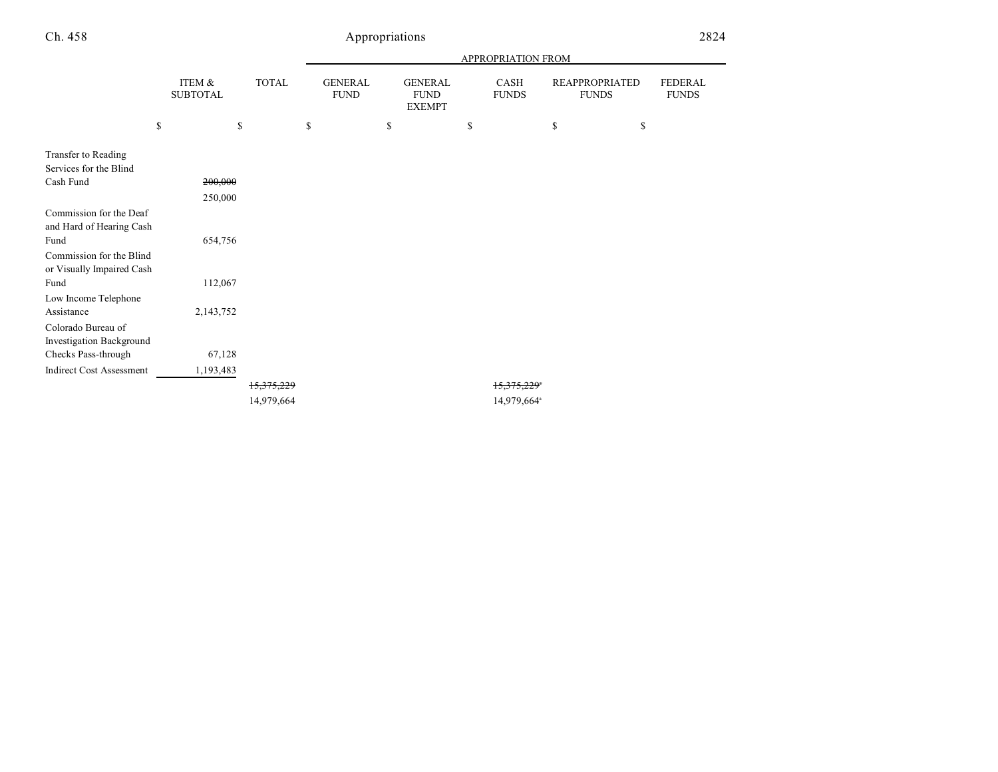|                                 |                           |            | APPROPRIATION FROM            |    |                                                |    |                         |                                       |                                |
|---------------------------------|---------------------------|------------|-------------------------------|----|------------------------------------------------|----|-------------------------|---------------------------------------|--------------------------------|
|                                 | ITEM &<br><b>SUBTOTAL</b> | TOTAL      | <b>GENERAL</b><br><b>FUND</b> |    | <b>GENERAL</b><br><b>FUND</b><br><b>EXEMPT</b> |    | CASH<br><b>FUNDS</b>    | <b>REAPPROPRIATED</b><br><b>FUNDS</b> | <b>FEDERAL</b><br><b>FUNDS</b> |
|                                 | \$                        | \$         | \$                            | \$ |                                                | \$ |                         | \$<br>\$                              |                                |
| Transfer to Reading             |                           |            |                               |    |                                                |    |                         |                                       |                                |
| Services for the Blind          |                           |            |                               |    |                                                |    |                         |                                       |                                |
| Cash Fund                       | 200,000                   |            |                               |    |                                                |    |                         |                                       |                                |
|                                 | 250,000                   |            |                               |    |                                                |    |                         |                                       |                                |
| Commission for the Deaf         |                           |            |                               |    |                                                |    |                         |                                       |                                |
| and Hard of Hearing Cash        |                           |            |                               |    |                                                |    |                         |                                       |                                |
| Fund                            | 654,756                   |            |                               |    |                                                |    |                         |                                       |                                |
| Commission for the Blind        |                           |            |                               |    |                                                |    |                         |                                       |                                |
| or Visually Impaired Cash       |                           |            |                               |    |                                                |    |                         |                                       |                                |
| Fund                            | 112,067                   |            |                               |    |                                                |    |                         |                                       |                                |
| Low Income Telephone            |                           |            |                               |    |                                                |    |                         |                                       |                                |
| Assistance                      | 2,143,752                 |            |                               |    |                                                |    |                         |                                       |                                |
| Colorado Bureau of              |                           |            |                               |    |                                                |    |                         |                                       |                                |
| Investigation Background        |                           |            |                               |    |                                                |    |                         |                                       |                                |
| Checks Pass-through             | 67,128                    |            |                               |    |                                                |    |                         |                                       |                                |
| <b>Indirect Cost Assessment</b> | 1,193,483                 |            |                               |    |                                                |    |                         |                                       |                                |
|                                 |                           | 15,375,229 |                               |    |                                                |    | 15,375,229*             |                                       |                                |
|                                 |                           | 14,979,664 |                               |    |                                                |    | 14,979,664 <sup>a</sup> |                                       |                                |
|                                 |                           |            |                               |    |                                                |    |                         |                                       |                                |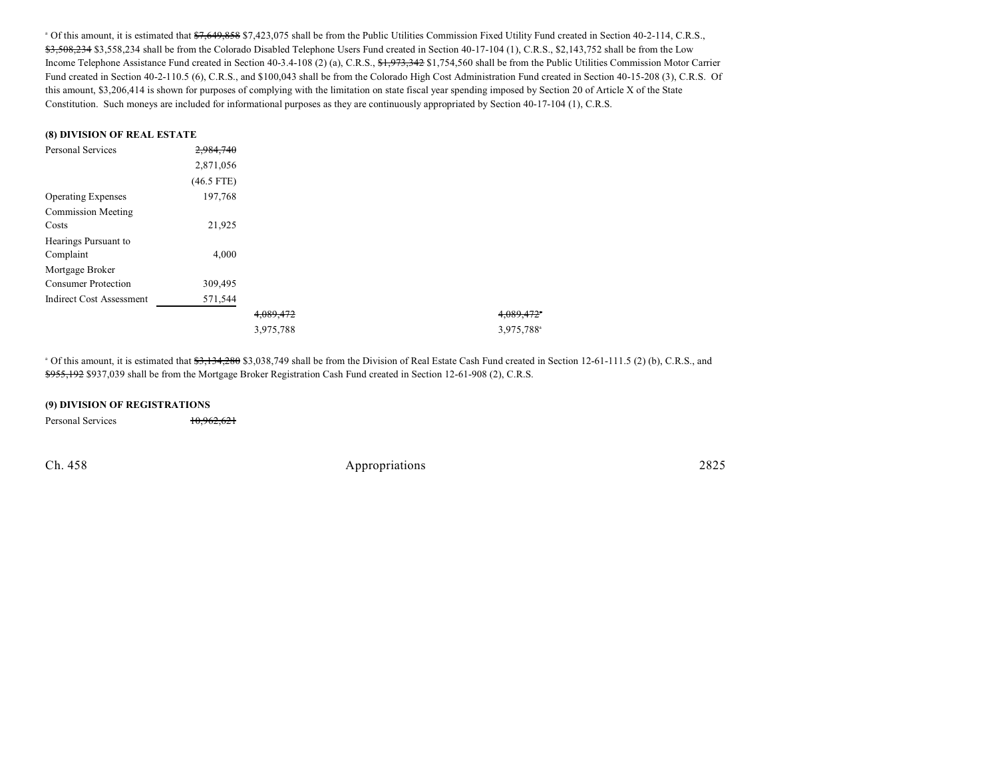<sup>a</sup> Of this amount, it is estimated that  $7,649,858$  \$7,423,075 shall be from the Public Utilities Commission Fixed Utility Fund created in Section 40-2-114, C.R.S., \$3,508,234 \$3,558,234 shall be from the Colorado Disabled Telephone Users Fund created in Section 40-17-104 (1), C.R.S., \$2,143,752 shall be from the Low Income Telephone Assistance Fund created in Section 40-3.4-108 (2) (a), C.R.S.,  $\frac{6}{3}$ ,  $\frac{1}{2}$ ,  $\frac{973}{2342}$  \$1,754,560 shall be from the Public Utilities Commission Motor Carrier Fund created in Section 40-2-110.5 (6), C.R.S., and \$100,043 shall be from the Colorado High Cost Administration Fund created in Section 40-15-208 (3), C.R.S. Of this amount, \$3,206,414 is shown for purposes of complying with the limitation on state fiscal year spending imposed by Section 20 of Article X of the State Constitution. Such moneys are included for informational purposes as they are continuously appropriated by Section 40-17-104 (1), C.R.S.

#### **(8) DIVISION OF REAL ESTATE**

| <b>Personal Services</b>   | 2.984.740    |           |                        |
|----------------------------|--------------|-----------|------------------------|
|                            | 2,871,056    |           |                        |
|                            | $(46.5$ FTE) |           |                        |
| <b>Operating Expenses</b>  | 197,768      |           |                        |
| <b>Commission Meeting</b>  |              |           |                        |
| Costs                      | 21,925       |           |                        |
| Hearings Pursuant to       |              |           |                        |
| Complaint                  | 4,000        |           |                        |
| Mortgage Broker            |              |           |                        |
| <b>Consumer Protection</b> | 309,495      |           |                        |
| Indirect Cost Assessment   | 571,544      |           |                        |
|                            |              | 4,089,472 | 4,089,472              |
|                            |              | 3,975,788 | 3,975,788 <sup>a</sup> |

<sup>a</sup> Of this amount, it is estimated that <del>\$3,134,280</del> \$3,038,749 shall be from the Division of Real Estate Cash Fund created in Section 12-61-111.5 (2) (b), C.R.S., and \$955,192 \$937,039 shall be from the Mortgage Broker Registration Cash Fund created in Section 12-61-908 (2), C.R.S.

### **(9) DIVISION OF REGISTRATIONS**

Personal Services 10,962,621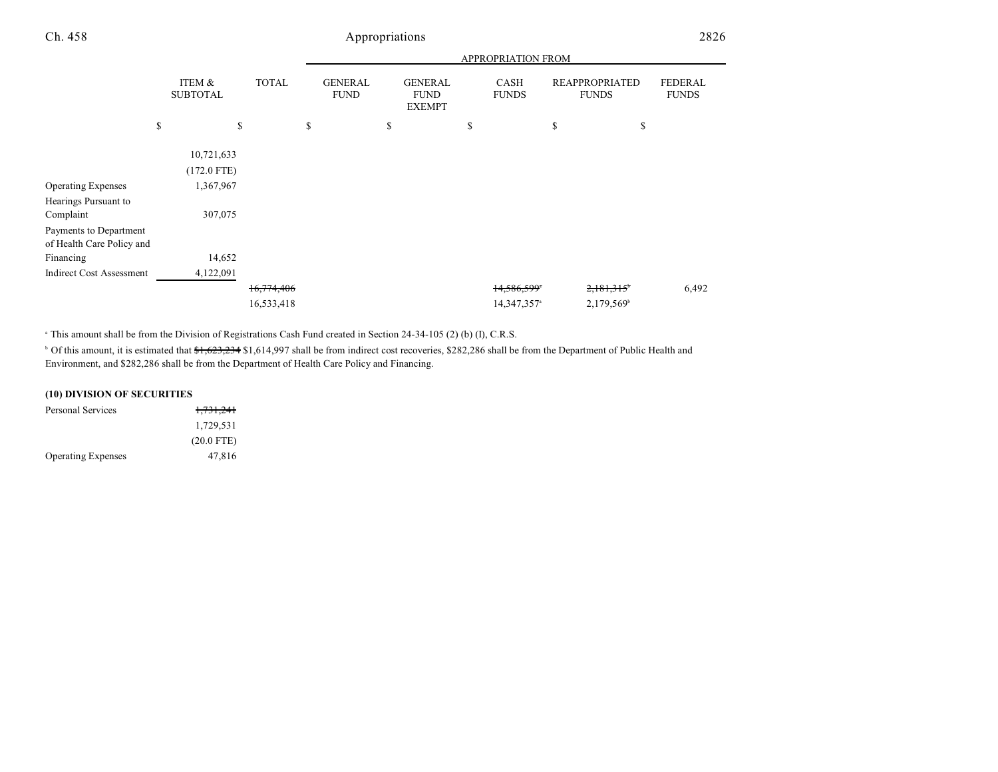|                                 |                           |              | <b>APPROPRIATION FROM</b>     |                                                |                             |                                       |                                |  |  |
|---------------------------------|---------------------------|--------------|-------------------------------|------------------------------------------------|-----------------------------|---------------------------------------|--------------------------------|--|--|
|                                 | ITEM &<br><b>SUBTOTAL</b> | <b>TOTAL</b> | <b>GENERAL</b><br><b>FUND</b> | <b>GENERAL</b><br><b>FUND</b><br><b>EXEMPT</b> | <b>CASH</b><br><b>FUNDS</b> | <b>REAPPROPRIATED</b><br><b>FUNDS</b> | <b>FEDERAL</b><br><b>FUNDS</b> |  |  |
|                                 | \$                        | \$           | \$                            | \$                                             | \$                          | \$<br>\$                              |                                |  |  |
|                                 | 10,721,633                |              |                               |                                                |                             |                                       |                                |  |  |
|                                 | $(172.0$ FTE)             |              |                               |                                                |                             |                                       |                                |  |  |
| <b>Operating Expenses</b>       | 1,367,967                 |              |                               |                                                |                             |                                       |                                |  |  |
| Hearings Pursuant to            |                           |              |                               |                                                |                             |                                       |                                |  |  |
| Complaint                       | 307,075                   |              |                               |                                                |                             |                                       |                                |  |  |
| Payments to Department          |                           |              |                               |                                                |                             |                                       |                                |  |  |
| of Health Care Policy and       |                           |              |                               |                                                |                             |                                       |                                |  |  |
| Financing                       | 14,652                    |              |                               |                                                |                             |                                       |                                |  |  |
| <b>Indirect Cost Assessment</b> | 4,122,091                 |              |                               |                                                |                             |                                       |                                |  |  |
|                                 |                           | 16, 774, 406 |                               |                                                | 14,586,599*                 | 2,181,315                             | 6,492                          |  |  |
|                                 |                           | 16,533,418   |                               |                                                | 14,347,357 <sup>a</sup>     | 2,179,569 <sup>b</sup>                |                                |  |  |

<sup>a</sup> This amount shall be from the Division of Registrations Cash Fund created in Section 24-34-105 (2) (b) (I), C.R.S.

<sup>b</sup> Of this amount, it is estimated that \$1,623,234 \$1,614,997 shall be from indirect cost recoveries, \$282,286 shall be from the Department of Public Health and Environment, and \$282,286 shall be from the Department of Health Care Policy and Financing.

## **(10) DIVISION OF SECURITIES**

| Personal Services         | <del>1,731,241</del> |
|---------------------------|----------------------|
|                           | 1,729,531            |
|                           | $(20.0$ FTE)         |
| <b>Operating Expenses</b> | 47.816               |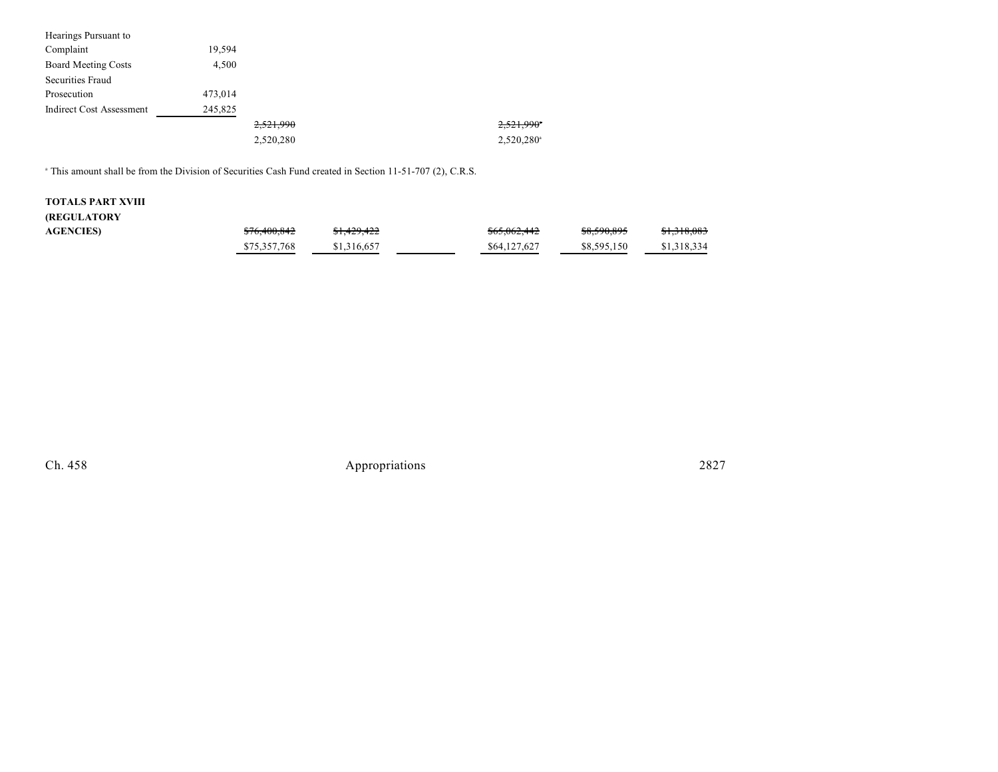| Hearings Pursuant to            |         |           |                        |
|---------------------------------|---------|-----------|------------------------|
| Complaint                       | 19,594  |           |                        |
| <b>Board Meeting Costs</b>      | 4,500   |           |                        |
| Securities Fraud                |         |           |                        |
| Prosecution                     | 473.014 |           |                        |
| <b>Indirect Cost Assessment</b> | 245,825 |           |                        |
|                                 |         | 2,521,990 | 2,521,990*             |
|                                 |         | 2,520,280 | 2,520,280 <sup>a</sup> |

<sup>a</sup> This amount shall be from the Division of Securities Cash Fund created in Section 11-51-707 (2), C.R.S.

# **TOTALS PART XVIII**

## **(REGULATORY**

| <b>AGENCIES)</b> | \$76,400,842 | <del>\$1,429,422</del> | <del>\$65,062,442</del> | \$8,590,895 | \$1,318,083 |
|------------------|--------------|------------------------|-------------------------|-------------|-------------|
|                  | \$75,357,768 | \$1,316,657            | \$64,127,627            | \$8,595,150 | \$1,318,334 |